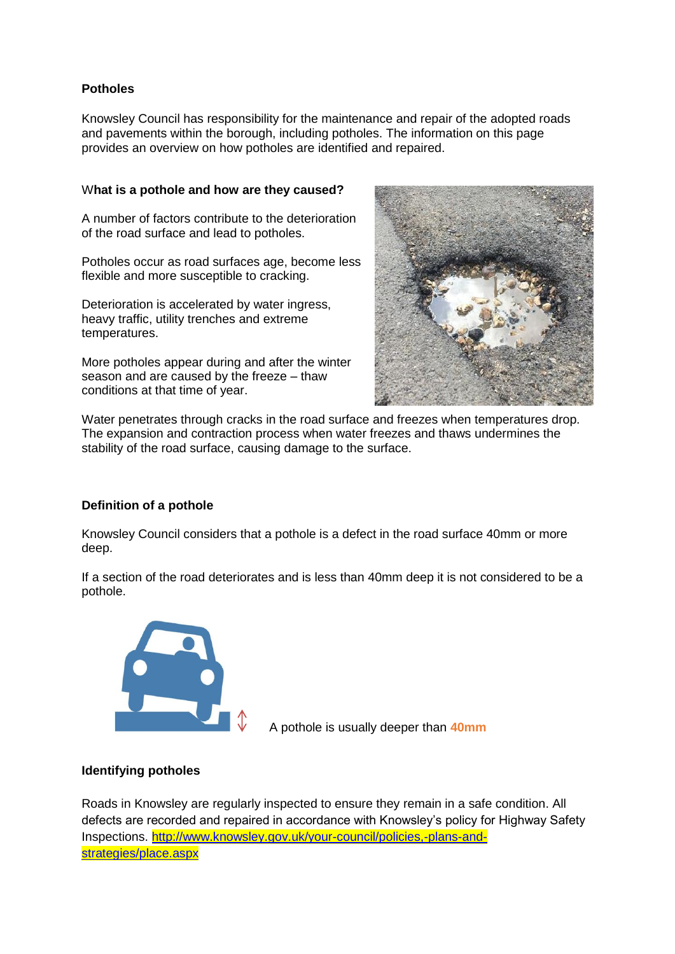# **Potholes**

Knowsley Council has responsibility for the maintenance and repair of the adopted roads and pavements within the borough, including potholes. The information on this page provides an overview on how potholes are identified and repaired.

## W**hat is a pothole and how are they caused?**

A number of factors contribute to the deterioration of the road surface and lead to potholes.

Potholes occur as road surfaces age, become less flexible and more susceptible to cracking.

Deterioration is accelerated by water ingress, heavy traffic, utility trenches and extreme temperatures.

More potholes appear during and after the winter season and are caused by the freeze – thaw conditions at that time of year.



Water penetrates through cracks in the road surface and freezes when temperatures drop. The expansion and contraction process when water freezes and thaws undermines the stability of the road surface, causing damage to the surface.

### **Definition of a pothole**

Knowsley Council considers that a pothole is a defect in the road surface 40mm or more deep.

If a section of the road deteriorates and is less than 40mm deep it is not considered to be a pothole.



A pothole is usually deeper than **40mm** 

# **Identifying potholes**

Roads in Knowsley are regularly inspected to ensure they remain in a safe condition. All defects are recorded and repaired in accordance with Knowsley's policy for Highway Safety Inspections. [http://www.knowsley.gov.uk/your-council/policies,-plans-and](http://www.knowsley.gov.uk/your-council/policies,-plans-and-strategies/place.aspx)[strategies/place.aspx](http://www.knowsley.gov.uk/your-council/policies,-plans-and-strategies/place.aspx)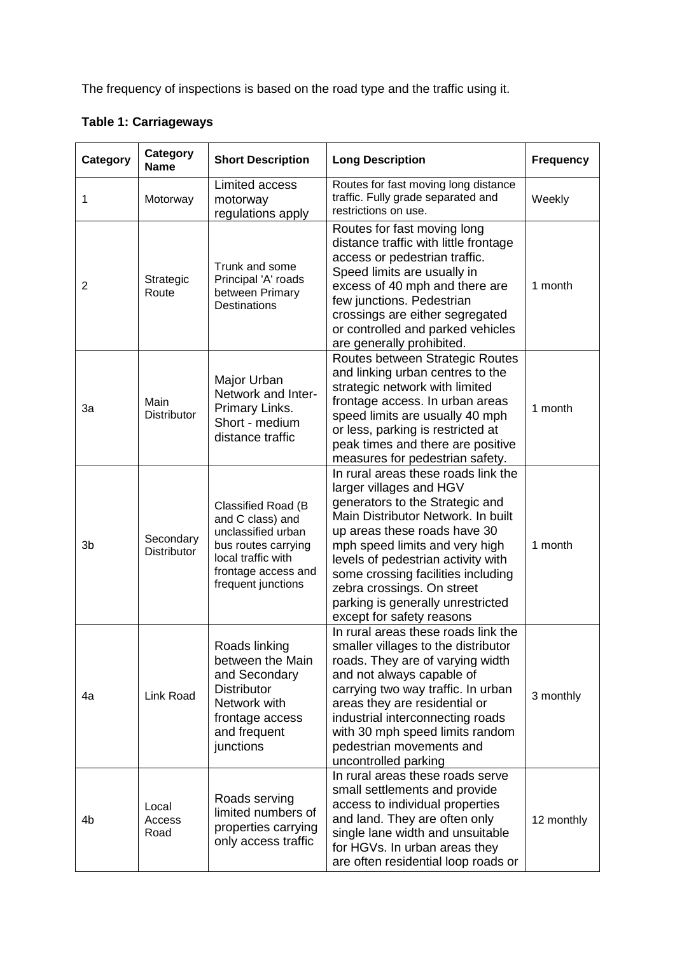The frequency of inspections is based on the road type and the traffic using it.

| Category       | Category<br><b>Name</b>         | <b>Short Description</b>                                                                                                                               | <b>Long Description</b>                                                                                                                                                                                                                                                                                                                                                               | <b>Frequency</b> |
|----------------|---------------------------------|--------------------------------------------------------------------------------------------------------------------------------------------------------|---------------------------------------------------------------------------------------------------------------------------------------------------------------------------------------------------------------------------------------------------------------------------------------------------------------------------------------------------------------------------------------|------------------|
| 1              | Motorway                        | Limited access<br>motorway<br>regulations apply                                                                                                        | Routes for fast moving long distance<br>traffic. Fully grade separated and<br>restrictions on use.                                                                                                                                                                                                                                                                                    | Weekly           |
| 2              | Strategic<br>Route              | Trunk and some<br>Principal 'A' roads<br>between Primary<br><b>Destinations</b>                                                                        | Routes for fast moving long<br>distance traffic with little frontage<br>access or pedestrian traffic.<br>Speed limits are usually in<br>excess of 40 mph and there are<br>few junctions. Pedestrian<br>crossings are either segregated<br>or controlled and parked vehicles<br>are generally prohibited.                                                                              | 1 month          |
| 3a             | Main<br>Distributor             | Major Urban<br>Network and Inter-<br>Primary Links.<br>Short - medium<br>distance traffic                                                              | Routes between Strategic Routes<br>and linking urban centres to the<br>strategic network with limited<br>frontage access. In urban areas<br>speed limits are usually 40 mph<br>or less, parking is restricted at<br>peak times and there are positive<br>measures for pedestrian safety.                                                                                              | 1 month          |
| 3 <sub>b</sub> | Secondary<br><b>Distributor</b> | Classified Road (B<br>and C class) and<br>unclassified urban<br>bus routes carrying<br>local traffic with<br>frontage access and<br>frequent junctions | In rural areas these roads link the<br>larger villages and HGV<br>generators to the Strategic and<br>Main Distributor Network. In built<br>up areas these roads have 30<br>mph speed limits and very high<br>levels of pedestrian activity with<br>some crossing facilities including<br>zebra crossings. On street<br>parking is generally unrestricted<br>except for safety reasons | 1 month          |
| 4a             | Link Road                       | Roads linking<br>between the Main<br>and Secondary<br><b>Distributor</b><br>Network with<br>frontage access<br>and frequent<br>junctions               | In rural areas these roads link the<br>smaller villages to the distributor<br>roads. They are of varying width<br>and not always capable of<br>carrying two way traffic. In urban<br>areas they are residential or<br>industrial interconnecting roads<br>with 30 mph speed limits random<br>pedestrian movements and<br>uncontrolled parking                                         | 3 monthly        |
| 4b             | Local<br>Access<br>Road         | Roads serving<br>limited numbers of<br>properties carrying<br>only access traffic                                                                      | In rural areas these roads serve<br>small settlements and provide<br>access to individual properties<br>and land. They are often only<br>single lane width and unsuitable<br>for HGVs. In urban areas they<br>are often residential loop roads or                                                                                                                                     | 12 monthly       |

**Table 1: Carriageways**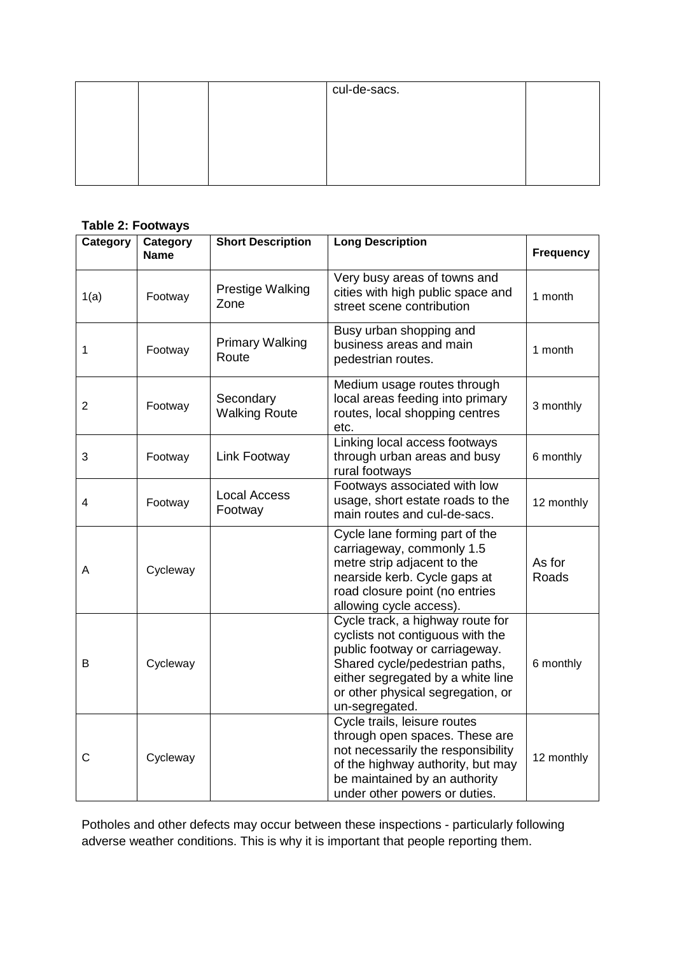| cul-de-sacs. |  |
|--------------|--|
|              |  |
|              |  |
|              |  |
|              |  |

# **Table 2: Footways**

| Category       | Category<br><b>Name</b> | <b>Short Description</b>          | <b>Long Description</b>                                                                                                                                                                                                              | <b>Frequency</b> |
|----------------|-------------------------|-----------------------------------|--------------------------------------------------------------------------------------------------------------------------------------------------------------------------------------------------------------------------------------|------------------|
| 1(a)           | Footway                 | Prestige Walking<br>Zone          | Very busy areas of towns and<br>cities with high public space and<br>street scene contribution                                                                                                                                       | 1 month          |
| 1              | Footway                 | <b>Primary Walking</b><br>Route   | Busy urban shopping and<br>business areas and main<br>pedestrian routes.                                                                                                                                                             | 1 month          |
| $\overline{2}$ | Footway                 | Secondary<br><b>Walking Route</b> | Medium usage routes through<br>local areas feeding into primary<br>routes, local shopping centres<br>etc.                                                                                                                            | 3 monthly        |
| 3              | Footway                 | Link Footway                      | Linking local access footways<br>through urban areas and busy<br>rural footways                                                                                                                                                      | 6 monthly        |
| 4              | Footway                 | <b>Local Access</b><br>Footway    | Footways associated with low<br>usage, short estate roads to the<br>main routes and cul-de-sacs.                                                                                                                                     | 12 monthly       |
| A              | Cycleway                |                                   | Cycle lane forming part of the<br>carriageway, commonly 1.5<br>metre strip adjacent to the<br>nearside kerb. Cycle gaps at<br>road closure point (no entries<br>allowing cycle access).                                              | As for<br>Roads  |
| В              | Cycleway                |                                   | Cycle track, a highway route for<br>cyclists not contiguous with the<br>public footway or carriageway.<br>Shared cycle/pedestrian paths,<br>either segregated by a white line<br>or other physical segregation, or<br>un-segregated. | 6 monthly        |
| С              | Cycleway                |                                   | Cycle trails, leisure routes<br>through open spaces. These are<br>not necessarily the responsibility<br>of the highway authority, but may<br>be maintained by an authority<br>under other powers or duties.                          | 12 monthly       |

Potholes and other defects may occur between these inspections - particularly following adverse weather conditions. This is why it is important that people reporting them.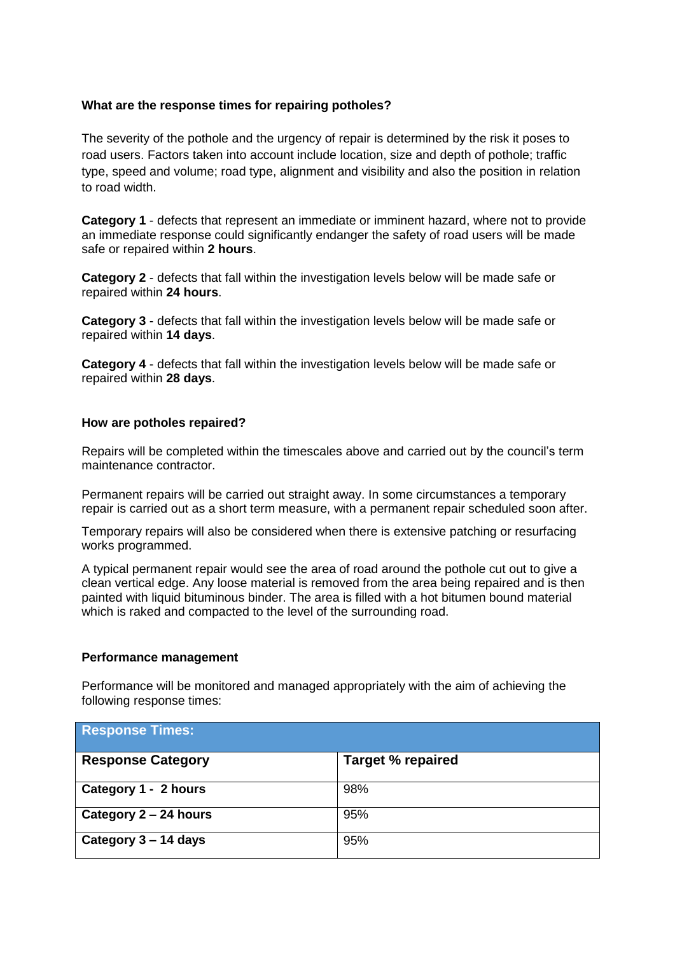## **What are the response times for repairing potholes?**

The severity of the pothole and the urgency of repair is determined by the risk it poses to road users. Factors taken into account include location, size and depth of pothole; traffic type, speed and volume; road type, alignment and visibility and also the position in relation to road width.

**Category 1** - defects that represent an immediate or imminent hazard, where not to provide an immediate response could significantly endanger the safety of road users will be made safe or repaired within **2 hours**.

**Category 2** - defects that fall within the investigation levels below will be made safe or repaired within **24 hours**.

**Category 3** - defects that fall within the investigation levels below will be made safe or repaired within **14 days**.

**Category 4** - defects that fall within the investigation levels below will be made safe or repaired within **28 days**.

#### **How are potholes repaired?**

Repairs will be completed within the timescales above and carried out by the council's term maintenance contractor.

Permanent repairs will be carried out straight away. In some circumstances a temporary repair is carried out as a short term measure, with a permanent repair scheduled soon after.

Temporary repairs will also be considered when there is extensive patching or resurfacing works programmed.

A typical permanent repair would see the area of road around the pothole cut out to give a clean vertical edge. Any loose material is removed from the area being repaired and is then painted with liquid bituminous binder. The area is filled with a hot bitumen bound material which is raked and compacted to the level of the surrounding road.

#### **Performance management**

Performance will be monitored and managed appropriately with the aim of achieving the following response times:

| <b>Response Times:</b>   |                          |  |  |  |
|--------------------------|--------------------------|--|--|--|
| <b>Response Category</b> | <b>Target % repaired</b> |  |  |  |
| Category 1 - 2 hours     | 98%                      |  |  |  |
| Category 2 – 24 hours    | 95%                      |  |  |  |
| Category 3 – 14 days     | 95%                      |  |  |  |